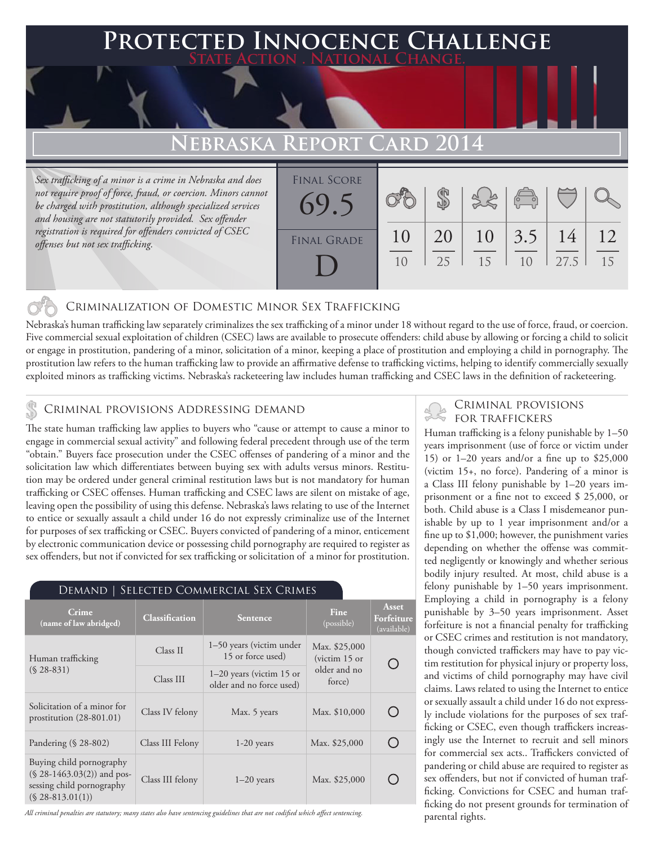### **FD INNOCENCE CHALLENGE State Action . National Change.**

## **EBRASKA REPORT**

*Sex trafficking of a minor is a crime in Nebraska and does not require proof of force, fraud, or coercion. Minors cannot be charged with prostitution, although specialized services and housing are not statutorily provided. Sex offender registration is required for offenders convicted of CSEC offenses but not sex trafficking.*

| <b>FINAL SCORE</b><br>69.5 |          |          |          | $\sqrt{\frac{1}{10}}$ |            |          |
|----------------------------|----------|----------|----------|-----------------------|------------|----------|
| <b>FINAL GRADE</b>         | 10<br>10 | 20<br>25 | 10<br>15 | 3.5<br>1 <sub>0</sub> | 14<br>27.5 | 12<br>15 |

### Criminalization of Domestic Minor Sex Trafficking

Nebraska's human trafficking law separately criminalizes the sex trafficking of a minor under 18 without regard to the use of force, fraud, or coercion. Five commercial sexual exploitation of children (CSEC) laws are available to prosecute offenders: child abuse by allowing or forcing a child to solicit or engage in prostitution, pandering of a minor, solicitation of a minor, keeping a place of prostitution and employing a child in pornography. The prostitution law refers to the human trafficking law to provide an affirmative defense to trafficking victims, helping to identify commercially sexually exploited minors as trafficking victims. Nebraska's racketeering law includes human trafficking and CSEC laws in the definition of racketeering.

## CRIMINAL PROVISIONS ADDRESSING DEMAND

The state human trafficking law applies to buyers who "cause or attempt to cause a minor to engage in commercial sexual activity" and following federal precedent through use of the term "obtain." Buyers face prosecution under the CSEC offenses of pandering of a minor and the solicitation law which differentiates between buying sex with adults versus minors. Restitution may be ordered under general criminal restitution laws but is not mandatory for human trafficking or CSEC offenses. Human trafficking and CSEC laws are silent on mistake of age, leaving open the possibility of using this defense. Nebraska's laws relating to use of the Internet to entice or sexually assault a child under 16 do not expressly criminalize use of the Internet for purposes of sex trafficking or CSEC. Buyers convicted of pandering of a minor, enticement by electronic communication device or possessing child pornography are required to register as sex offenders, but not if convicted for sex trafficking or solicitation of a minor for prostitution.

| SELECTED COMMERCIAL SEX CRIMES<br>Demand                                                                    |                                                                     |                 |                                  |                                    |  |  |  |  |
|-------------------------------------------------------------------------------------------------------------|---------------------------------------------------------------------|-----------------|----------------------------------|------------------------------------|--|--|--|--|
| Crime<br>(name of law abridged)                                                                             | <b>Classification</b>                                               | <b>Sentence</b> | Fine<br>(possible)               | Asset<br>Forfeiture<br>(available) |  |  |  |  |
| Human trafficking<br>$(S$ 28-831)                                                                           | 1–50 years (victim under<br>Class II<br>15 or force used)           |                 | Max. \$25,000<br>(victim $15$ or |                                    |  |  |  |  |
|                                                                                                             | $1-20$ years (victim 15 or<br>Class III<br>older and no force used) |                 | older and no<br>force)           |                                    |  |  |  |  |
| Solicitation of a minor for<br>prostitution $(28-801.01)$                                                   | Class IV felony                                                     | Max. 5 years    | Max. \$10,000                    |                                    |  |  |  |  |
| Pandering $(\S$ 28-802)                                                                                     | Class III Felony                                                    | $1-20$ years    | Max. \$25,000                    |                                    |  |  |  |  |
| Buying child pornography<br>$(S$ 28-1463.03(2)) and pos-<br>sessing child pornography<br>$(S$ 28-813.01(1)) | Class III felony                                                    | $1-20$ years    | Max. \$25,000                    |                                    |  |  |  |  |

*All criminal penalties are statutory; many states also have sentencing guidelines that are not codified which affect sentencing.* 

# Criminal provisions

Human trafficking is a felony punishable by 1–50 years imprisonment (use of force or victim under 15) or 1–20 years and/or a fine up to \$25,000 (victim 15+, no force). Pandering of a minor is a Class III felony punishable by 1–20 years imprisonment or a fine not to exceed \$ 25,000, or both. Child abuse is a Class I misdemeanor punishable by up to 1 year imprisonment and/or a fine up to \$1,000; however, the punishment varies depending on whether the offense was committed negligently or knowingly and whether serious bodily injury resulted. At most, child abuse is a felony punishable by 1–50 years imprisonment. Employing a child in pornography is a felony punishable by 3–50 years imprisonment. Asset forfeiture is not a financial penalty for trafficking or CSEC crimes and restitution is not mandatory, though convicted traffickers may have to pay victim restitution for physical injury or property loss, and victims of child pornography may have civil claims. Laws related to using the Internet to entice or sexually assault a child under 16 do not expressly include violations for the purposes of sex trafficking or CSEC, even though traffickers increasingly use the Internet to recruit and sell minors for commercial sex acts.. Traffickers convicted of pandering or child abuse are required to register as sex offenders, but not if convicted of human trafficking. Convictions for CSEC and human trafficking do not present grounds for termination of parental rights.